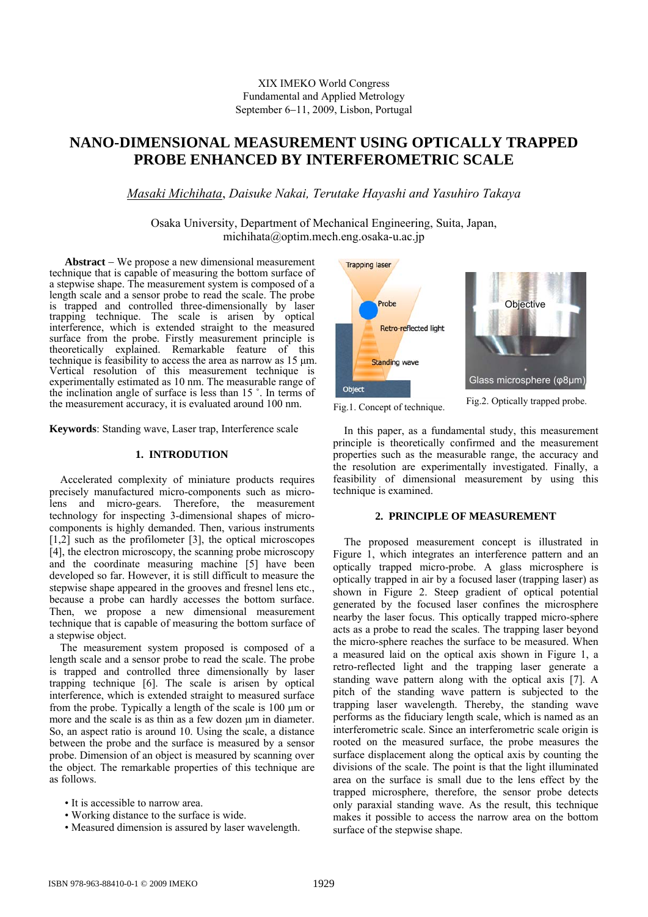# **NANO-DIMENSIONAL MEASUREMENT USING OPTICALLY TRAPPED PROBE ENHANCED BY INTERFEROMETRIC SCALE**

*Masaki Michihata*, *Daisuke Nakai, Terutake Hayashi and Yasuhiro Takaya* 

Osaka University, Department of Mechanical Engineering, Suita, Japan, michihata@optim.mech.eng.osaka-u.ac.jp

**Abstract** − We propose a new dimensional measurement technique that is capable of measuring the bottom surface of a stepwise shape. The measurement system is composed of a length scale and a sensor probe to read the scale. The probe is trapped and controlled three-dimensionally by laser trapping technique. The scale is arisen by optical interference, which is extended straight to the measured surface from the probe. Firstly measurement principle is theoretically explained. Remarkable feature of this technique is feasibility to access the area as narrow as 15 μm. Vertical resolution of this measurement technique is experimentally estimated as 10 nm. The measurable range of the inclination angle of surface is less than 15 ˚. In terms of the measurement accuracy, it is evaluated around 100 nm.

**Keywords**: Standing wave, Laser trap, Interference scale

# **1. INTRODUTION**

Accelerated complexity of miniature products requires precisely manufactured micro-components such as microlens and micro-gears. Therefore, the measurement technology for inspecting 3-dimensional shapes of microcomponents is highly demanded. Then, various instruments [1,2] such as the profilometer [3], the optical microscopes [4], the electron microscopy, the scanning probe microscopy and the coordinate measuring machine [5] have been developed so far. However, it is still difficult to measure the stepwise shape appeared in the grooves and fresnel lens etc., because a probe can hardly accesses the bottom surface. Then, we propose a new dimensional measurement technique that is capable of measuring the bottom surface of a stepwise object.

The measurement system proposed is composed of a length scale and a sensor probe to read the scale. The probe is trapped and controlled three dimensionally by laser trapping technique [6]. The scale is arisen by optical interference, which is extended straight to measured surface from the probe. Typically a length of the scale is 100 μm or more and the scale is as thin as a few dozen μm in diameter. So, an aspect ratio is around 10. Using the scale, a distance between the probe and the surface is measured by a sensor probe. Dimension of an object is measured by scanning over the object. The remarkable properties of this technique are as follows.

- It is accessible to narrow area.
- Working distance to the surface is wide.
- Measured dimension is assured by laser wavelength.



Fig.1. Concept of technique. Fig.2. Optically trapped probe.

In this paper, as a fundamental study, this measurement principle is theoretically confirmed and the measurement properties such as the measurable range, the accuracy and the resolution are experimentally investigated. Finally, a feasibility of dimensional measurement by using this technique is examined.

### **2. PRINCIPLE OF MEASUREMENT**

The proposed measurement concept is illustrated in Figure 1, which integrates an interference pattern and an optically trapped micro-probe. A glass microsphere is optically trapped in air by a focused laser (trapping laser) as shown in Figure 2. Steep gradient of optical potential generated by the focused laser confines the microsphere nearby the laser focus. This optically trapped micro-sphere acts as a probe to read the scales. The trapping laser beyond the micro-sphere reaches the surface to be measured. When a measured laid on the optical axis shown in Figure 1, a retro-reflected light and the trapping laser generate a standing wave pattern along with the optical axis [7]. A pitch of the standing wave pattern is subjected to the trapping laser wavelength. Thereby, the standing wave performs as the fiduciary length scale, which is named as an interferometric scale. Since an interferometric scale origin is rooted on the measured surface, the probe measures the surface displacement along the optical axis by counting the divisions of the scale. The point is that the light illuminated area on the surface is small due to the lens effect by the trapped microsphere, therefore, the sensor probe detects only paraxial standing wave. As the result, this technique makes it possible to access the narrow area on the bottom surface of the stepwise shape.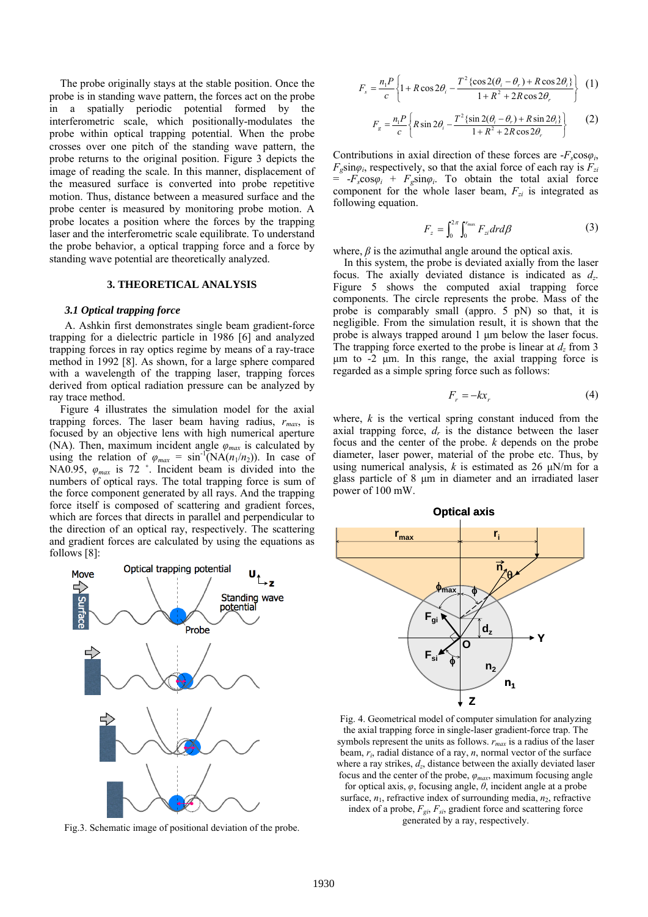The probe originally stays at the stable position. Once the probe is in standing wave pattern, the forces act on the probe in a spatially periodic potential formed by the interferometric scale, which positionally-modulates the probe within optical trapping potential. When the probe crosses over one pitch of the standing wave pattern, the probe returns to the original position. Figure 3 depicts the image of reading the scale. In this manner, displacement of the measured surface is converted into probe repetitive motion. Thus, distance between a measured surface and the probe center is measured by monitoring probe motion. A probe locates a position where the forces by the trapping laser and the interferometric scale equilibrate. To understand the probe behavior, a optical trapping force and a force by standing wave potential are theoretically analyzed.

# **3. THEORETICAL ANALYSIS**

### *3.1 Optical trapping force*

A. Ashkin first demonstrates single beam gradient-force trapping for a dielectric particle in 1986 [6] and analyzed trapping forces in ray optics regime by means of a ray-trace method in 1992 [8]. As shown, for a large sphere compared with a wavelength of the trapping laser, trapping forces derived from optical radiation pressure can be analyzed by ray trace method.

Figure 4 illustrates the simulation model for the axial trapping forces. The laser beam having radius,  $r_{max}$ , is focused by an objective lens with high numerical aperture (NA). Then, maximum incident angle  $\varphi_{max}$  is calculated by using the relation of  $\varphi_{max} = \sin^{-1}(NA(n_1/n_2))$ . In case of NA0.95, *φmax* is 72 ˚. Incident beam is divided into the numbers of optical rays. The total trapping force is sum of the force component generated by all rays. And the trapping force itself is composed of scattering and gradient forces, which are forces that directs in parallel and perpendicular to the direction of an optical ray, respectively. The scattering and gradient forces are calculated by using the equations as follows [8]:



Fig.3. Schematic image of positional deviation of the probe.

$$
F_s = \frac{n_1 P}{c} \left\{ 1 + R \cos 2\theta_i - \frac{T^2 \left\{ \cos 2(\theta_i - \theta_r) + R \cos 2\theta_i \right\}}{1 + R^2 + 2R \cos 2\theta_r} \right\}
$$
 (1)

$$
F_g = \frac{n_1 P}{c} \left\{ R \sin 2\theta_i - \frac{T^2 \left\{ \sin 2(\theta_i - \theta_r) + R \sin 2\theta_i \right\}}{1 + R^2 + 2R \cos 2\theta_r} \right\}
$$
 (2)

Contributions in axial direction of these forces are  $-F_s \cos \varphi_i$ ,  $F_g \sin \varphi_i$ , respectively, so that the axial force of each ray is  $F_{zi}$  $= -F_s \cos \varphi_i + F_g \sin \varphi_i$ . To obtain the total axial force component for the whole laser beam,  $F_{zi}$  is integrated as following equation.

$$
F_z = \int_0^{2\pi} \int_0^{r_{\text{max}}} F_{zi} dr d\beta \tag{3}
$$

where,  $\beta$  is the azimuthal angle around the optical axis.

In this system, the probe is deviated axially from the laser focus. The axially deviated distance is indicated as *dz*. Figure 5 shows the computed axial trapping force components. The circle represents the probe. Mass of the probe is comparably small (appro. 5 pN) so that, it is negligible. From the simulation result, it is shown that the probe is always trapped around 1 μm below the laser focus. The trapping force exerted to the probe is linear at  $d_z$  from 3 μm to -2 μm. In this range, the axial trapping force is regarded as a simple spring force such as follows:

$$
F_r = -kx_r \tag{4}
$$

where,  $k$  is the vertical spring constant induced from the axial trapping force,  $d<sub>r</sub>$  is the distance between the laser focus and the center of the probe. *k* depends on the probe diameter, laser power, material of the probe etc. Thus, by using numerical analysis,  $k$  is estimated as 26  $\mu$ N/m for a glass particle of 8 μm in diameter and an irradiated laser power of 100 mW.



Fig. 4. Geometrical model of computer simulation for analyzing the axial trapping force in single-laser gradient-force trap. The symbols represent the units as follows. *rmax* is a radius of the laser beam, *ri*, radial distance of a ray, *n*, normal vector of the surface where a ray strikes,  $d_z$ , distance between the axially deviated laser focus and the center of the probe, *φmax*, maximum focusing angle for optical axis, *φ*, focusing angle, *θ*, incident angle at a probe surface,  $n_1$ , refractive index of surrounding media,  $n_2$ , refractive index of a probe,  $F_{gi}$ ,  $F_{si}$ , gradient force and scattering force generated by a ray, respectively.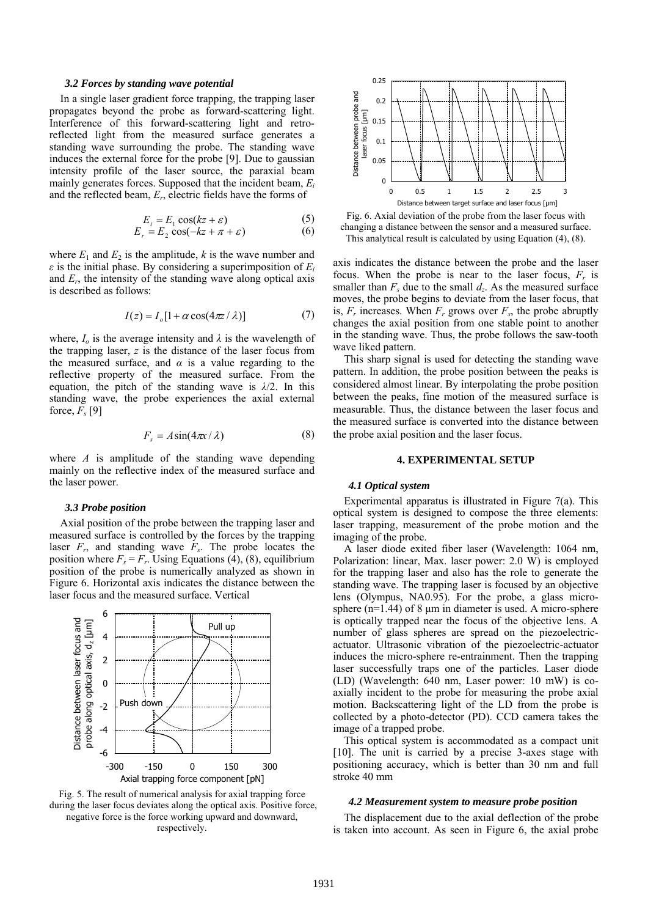#### *3.2 Forces by standing wave potential*

In a single laser gradient force trapping, the trapping laser propagates beyond the probe as forward-scattering light. Interference of this forward-scattering light and retroreflected light from the measured surface generates a standing wave surrounding the probe. The standing wave induces the external force for the probe [9]. Due to gaussian intensity profile of the laser source, the paraxial beam mainly generates forces. Supposed that the incident beam, *Ei* and the reflected beam, *Er*, electric fields have the forms of

$$
E_i = E_1 \cos(kz + \varepsilon) \tag{5}
$$

$$
E_r = E_2 \cos(-kz + \pi + \varepsilon) \tag{6}
$$

where  $E_1$  and  $E_2$  is the amplitude,  $k$  is the wave number and *ε* is the initial phase. By considering a superimposition of *Ei* and  $E_r$ , the intensity of the standing wave along optical axis is described as follows:

$$
I(z) = I_o[1 + \alpha \cos(4\pi z / \lambda)]
$$
 (7)

where,  $I_0$  is the average intensity and  $\lambda$  is the wavelength of the trapping laser, *z* is the distance of the laser focus from the measured surface, and  $\alpha$  is a value regarding to the reflective property of the measured surface. From the equation, the pitch of the standing wave is *λ*/2. In this standing wave, the probe experiences the axial external force,  $F_s$  [9]

$$
F_s = A \sin(4\pi x / \lambda) \tag{8}
$$

where *A* is amplitude of the standing wave depending mainly on the reflective index of the measured surface and the laser power.

# *3.3 Probe position*

Axial position of the probe between the trapping laser and measured surface is controlled by the forces by the trapping laser  $F_r$ , and standing wave  $F_s$ . The probe locates the position where  $F_s = F_r$ . Using Equations (4), (8), equilibrium position of the probe is numerically analyzed as shown in Figure 6. Horizontal axis indicates the distance between the laser focus and the measured surface. Vertical







Fig. 6. Axial deviation of the probe from the laser focus with changing a distance between the sensor and a measured surface. This analytical result is calculated by using Equation (4), (8).

axis indicates the distance between the probe and the laser focus. When the probe is near to the laser focus,  $F_r$  is smaller than  $F_s$  due to the small  $d_z$ . As the measured surface moves, the probe begins to deviate from the laser focus, that is,  $F_r$  increases. When  $F_r$  grows over  $F_s$ , the probe abruptly changes the axial position from one stable point to another in the standing wave. Thus, the probe follows the saw-tooth wave liked pattern.

This sharp signal is used for detecting the standing wave pattern. In addition, the probe position between the peaks is considered almost linear. By interpolating the probe position between the peaks, fine motion of the measured surface is measurable. Thus, the distance between the laser focus and the measured surface is converted into the distance between the probe axial position and the laser focus.

# **4. EXPERIMENTAL SETUP**

# *4.1 Optical system*

Experimental apparatus is illustrated in Figure 7(a). This optical system is designed to compose the three elements: laser trapping, measurement of the probe motion and the imaging of the probe.

A laser diode exited fiber laser (Wavelength: 1064 nm, Polarization: linear, Max. laser power: 2.0 W) is employed for the trapping laser and also has the role to generate the standing wave. The trapping laser is focused by an objective lens (Olympus, NA0.95). For the probe, a glass microsphere  $(n=1.44)$  of 8  $\mu$ m in diameter is used. A micro-sphere is optically trapped near the focus of the objective lens. A number of glass spheres are spread on the piezoelectricactuator. Ultrasonic vibration of the piezoelectric-actuator induces the micro-sphere re-entrainment. Then the trapping laser successfully traps one of the particles. Laser diode (LD) (Wavelength: 640 nm, Laser power: 10 mW) is coaxially incident to the probe for measuring the probe axial motion. Backscattering light of the LD from the probe is collected by a photo-detector (PD). CCD camera takes the image of a trapped probe.

This optical system is accommodated as a compact unit [10]. The unit is carried by a precise 3-axes stage with positioning accuracy, which is better than 30 nm and full stroke 40 mm

# *4.2 Measurement system to measure probe position*

The displacement due to the axial deflection of the probe is taken into account. As seen in Figure 6, the axial probe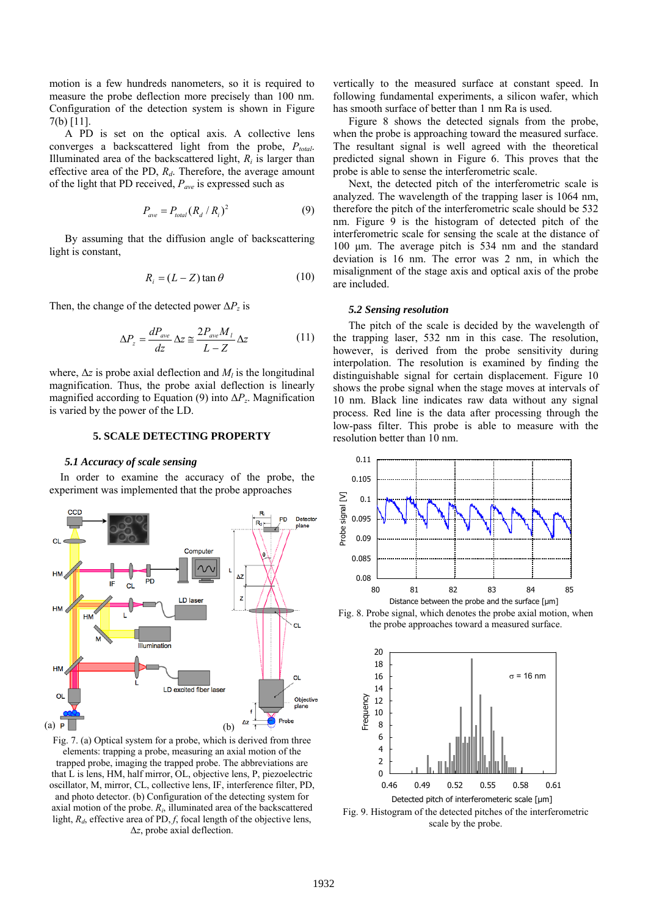motion is a few hundreds nanometers, so it is required to measure the probe deflection more precisely than 100 nm. Configuration of the detection system is shown in Figure 7(b) [11].

A PD is set on the optical axis. A collective lens converges a backscattered light from the probe,  $P_{total}$ . Illuminated area of the backscattered light,  $R_i$  is larger than effective area of the PD,  $R_d$ . Therefore, the average amount of the light that PD received, *Pave* is expressed such as

$$
P_{ave} = P_{total} (R_d / R_i)^2 \tag{9}
$$

By assuming that the diffusion angle of backscattering light is constant,

$$
R_i = (L - Z) \tan \theta \tag{10}
$$

Then, the change of the detected power  $\Delta P_z$  is

$$
\Delta P_z = \frac{dP_{ave}}{dz} \Delta z \cong \frac{2P_{ave}M_l}{L - Z} \Delta z \tag{11}
$$

where,  $\Delta z$  is probe axial deflection and  $M_l$  is the longitudinal magnification. Thus, the probe axial deflection is linearly magnified according to Equation (9) into Δ*Pz*. Magnification is varied by the power of the LD.

# **5. SCALE DETECTING PROPERTY**

# *5.1 Accuracy of scale sensing*

In order to examine the accuracy of the probe, the experiment was implemented that the probe approaches



Fig. 7. (a) Optical system for a probe, which is derived from three elements: trapping a probe, measuring an axial motion of the trapped probe, imaging the trapped probe. The abbreviations are that L is lens, HM, half mirror, OL, objective lens, P, piezoelectric oscillator, M, mirror, CL, collective lens, IF, interference filter, PD, and photo detector. (b) Configuration of the detecting system for axial motion of the probe.  $R_i$ , illuminated area of the backscattered light,  $R_d$ , effective area of PD,  $f$ , focal length of the objective lens, Δ*z*, probe axial deflection.

vertically to the measured surface at constant speed. In following fundamental experiments, a silicon wafer, which has smooth surface of better than 1 nm Ra is used.

Figure 8 shows the detected signals from the probe, when the probe is approaching toward the measured surface. The resultant signal is well agreed with the theoretical predicted signal shown in Figure 6. This proves that the probe is able to sense the interferometric scale.

Next, the detected pitch of the interferometric scale is analyzed. The wavelength of the trapping laser is 1064 nm, therefore the pitch of the interferometric scale should be 532 nm. Figure 9 is the histogram of detected pitch of the interferometric scale for sensing the scale at the distance of 100 μm. The average pitch is 534 nm and the standard deviation is 16 nm. The error was 2 nm, in which the misalignment of the stage axis and optical axis of the probe are included.

### *5.2 Sensing resolution*

The pitch of the scale is decided by the wavelength of the trapping laser, 532 nm in this case. The resolution, however, is derived from the probe sensitivity during interpolation. The resolution is examined by finding the distinguishable signal for certain displacement. Figure 10 shows the probe signal when the stage moves at intervals of 10 nm. Black line indicates raw data without any signal process. Red line is the data after processing through the low-pass filter. This probe is able to measure with the resolution better than 10 nm.



Fig. 8. Probe signal, which denotes the probe axial motion, when the probe approaches toward a measured surface.



Fig. 9. Histogram of the detected pitches of the interferometric scale by the probe.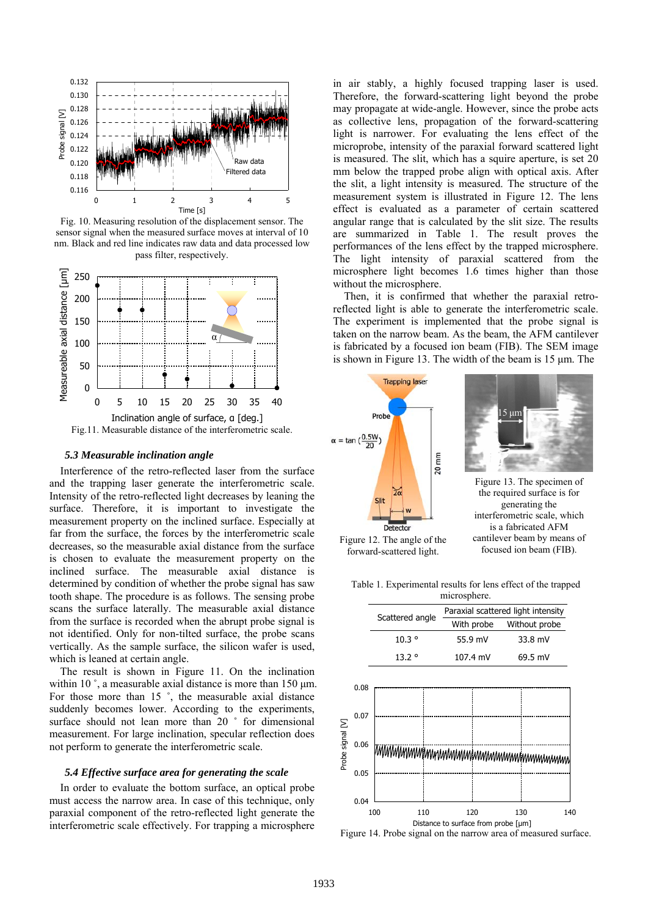

Fig. 10. Measuring resolution of the displacement sensor. The sensor signal when the measured surface moves at interval of 10 nm. Black and red line indicates raw data and data processed low pass filter, respectively.



# *5.3 Measurable inclination angle*

Interference of the retro-reflected laser from the surface and the trapping laser generate the interferometric scale. Intensity of the retro-reflected light decreases by leaning the surface. Therefore, it is important to investigate the measurement property on the inclined surface. Especially at far from the surface, the forces by the interferometric scale decreases, so the measurable axial distance from the surface is chosen to evaluate the measurement property on the inclined surface. The measurable axial distance is determined by condition of whether the probe signal has saw tooth shape. The procedure is as follows. The sensing probe scans the surface laterally. The measurable axial distance from the surface is recorded when the abrupt probe signal is not identified. Only for non-tilted surface, the probe scans vertically. As the sample surface, the silicon wafer is used, which is leaned at certain angle.

The result is shown in Figure 11. On the inclination within 10 $\degree$ , a measurable axial distance is more than 150  $\mu$ m. For those more than 15 ˚, the measurable axial distance suddenly becomes lower. According to the experiments, surface should not lean more than 20 ° for dimensional measurement. For large inclination, specular reflection does not perform to generate the interferometric scale.

### *5.4 Effective surface area for generating the scale*

In order to evaluate the bottom surface, an optical probe must access the narrow area. In case of this technique, only paraxial component of the retro-reflected light generate the interferometric scale effectively. For trapping a microsphere in air stably, a highly focused trapping laser is used. Therefore, the forward-scattering light beyond the probe may propagate at wide-angle. However, since the probe acts as collective lens, propagation of the forward-scattering light is narrower. For evaluating the lens effect of the microprobe, intensity of the paraxial forward scattered light is measured. The slit, which has a squire aperture, is set 20 mm below the trapped probe align with optical axis. After the slit, a light intensity is measured. The structure of the measurement system is illustrated in Figure 12. The lens effect is evaluated as a parameter of certain scattered angular range that is calculated by the slit size. The results are summarized in Table 1. The result proves the performances of the lens effect by the trapped microsphere. The light intensity of paraxial scattered from the microsphere light becomes 1.6 times higher than those without the microsphere.

Then, it is confirmed that whether the paraxial retroreflected light is able to generate the interferometric scale. The experiment is implemented that the probe signal is taken on the narrow beam. As the beam, the AFM cantilever is fabricated by a focused ion beam (FIB). The SEM image is shown in Figure 13. The width of the beam is 15 μm. The



Table 1. Experimental results for lens effect of the trapped microsphere.